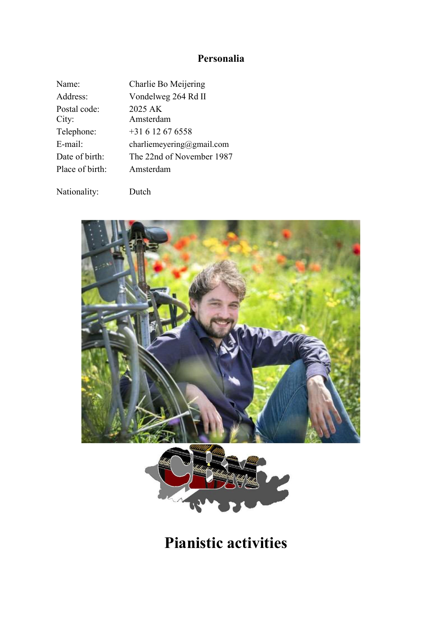# **Personalia**

| Name:                 | Charlie Bo Meijering      |
|-----------------------|---------------------------|
| Address:              | Vondelweg 264 Rd II       |
| Postal code:<br>City: | 2025 AK<br>Amsterdam      |
| Telephone:            | $+31612676558$            |
| E-mail:               | charliemeyering@gmail.com |
| Date of birth:        | The 22nd of November 1987 |
| Place of birth:       | Amsterdam                 |

Nationality: Dutch



# **Pianistic activities**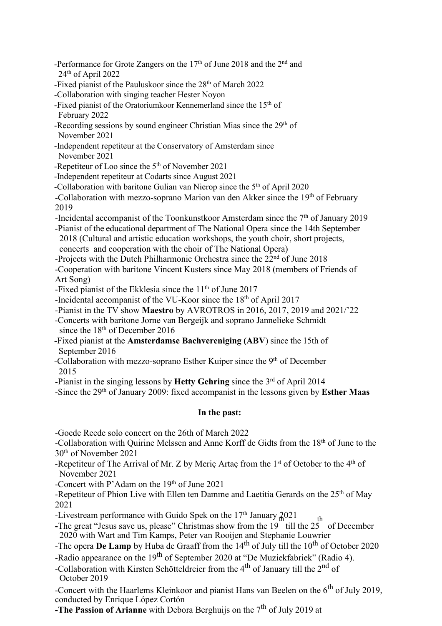- -Performance for Grote Zangers on the  $17<sup>th</sup>$  of June 2018 and the  $2<sup>nd</sup>$  and 24 th of April 2022
- -Fixed pianist of the Pauluskoor since the 28<sup>th</sup> of March 2022
- -Collaboration with singing teacher Hester Noyon
- -Fixed pianist of the Oratoriumkoor Kennemerland since the 15<sup>th</sup> of February 2022
- -Recording sessions by sound engineer Christian Mias since the 29<sup>th</sup> of November 2021
- -Independent repetiteur at the Conservatory of Amsterdam since November 2021
- -Repetiteur of Loo since the  $5<sup>th</sup>$  of November 2021
- -Independent repetiteur at Codarts since August 2021
- -Collaboration with baritone Gulian van Nierop since the 5<sup>th</sup> of April 2020
- -Collaboration with mezzo-soprano Marion van den Akker since the 19<sup>th</sup> of February 2019
- -Incidental accompanist of the Toonkunstkoor Amsterdam since the 7<sup>th</sup> of January 2019
- -Pianist of the educational department of The National Opera since the 14th September 2018 (Cultural and artistic education workshops, the youth choir, short projects, concerts and cooperation with the choir of The National Opera)
- -Projects with the Dutch Philharmonic Orchestra since the 22<sup>nd</sup> of June 2018
- -Cooperation with baritone Vincent Kusters since May 2018 (members of Friends of Art Song)
- -Fixed pianist of the Ekklesia since the  $11<sup>th</sup>$  of June 2017
- -Incidental accompanist of the VU-Koor since the 18<sup>th</sup> of April 2017
- -Pianist in the TV show **Maestro** by AVROTROS in2016, 2017, 2019 and 2021/'22
- -Concerts with baritone Jorne van Bergeijk and soprano Jannelieke Schmidt since the  $18<sup>th</sup>$  of December 2016
- -Fixed pianist at the **Amsterdamse Bachvereniging (ABV**) since the 15th of September 2016
- -Collaboration with mezzo-soprano Esther Kuiper since the 9<sup>th</sup> of December 2015
- -Pianist in the singing lessons by **Hetty Gehring** since the 3<sup>rd</sup> of April 2014
- -Since the 29<sup>th</sup> of January 2009: fixed accompanist in the lessons given by **Esther Maas**

## **In the past:**

-Goede Reede solo concert on the 26th of March 2022

-Collaboration with Quirine Melssen and Anne Korff de Gidts from the 18<sup>th</sup> of June to the 30 th of November 2021

- -Repetiteur of The Arrival of Mr. Z by Meriç Artaç from the 1<sup>st</sup> of October to the 4<sup>th</sup> of November 2021
- -Concert with P'Adam on the  $19<sup>th</sup>$  of June 2021
- -Repetiteur of Phion Live with Ellen ten Damme and Laetitia Gerards on the  $25^{\text{th}}$  of May 2021
- -Livestream performance with Guido Spek on the  $17<sup>th</sup>$  January  $2021$
- $\frac{2021}{\text{th}}$  th **-**The great "Jesus save us, please" Christmas show from the 19 till the 25 of December 2020 with Wartand Tim Kamps, Peter van Rooijen and Stephanie Louwrier
- -The opera **De Lamp** by Huba de Graaff from the 14<sup>th</sup> of July till the 10<sup>th</sup> of October 2020
- -Radio appearance on the 19<sup>th</sup> of September 2020 at "De Muziekfabriek" (Radio 4).
- -Collaboration with Kirsten Schötteldreier from the 4<sup>th</sup> of January till the 2<sup>nd</sup> of October 2019

-Concert with the Haarlems Kleinkoor and pianist Hans van Beelen on the 6<sup>th</sup> of July 2019, conducted by Enrique López Cortón

**-The Passion of Arianne** with Debora Berghuijs on the 7 th of July 2019 at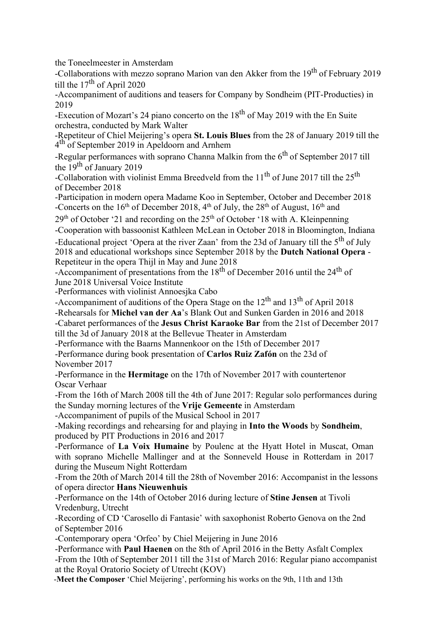the Toneelmeester in Amsterdam

-Collaborations with mezzo soprano Marion van den Akker from the 19<sup>th</sup> of February 2019 till the  $17<sup>th</sup>$  of April 2020

-Accompaniment of auditions and teasers for Company by Sondheim (PIT-Producties) in 2019

-Execution of Mozart's 24 piano concerto on the  $18^{th}$  of May 2019 with the En Suite orchestra, conducted by Mark Walter

-Repetiteur of Chiel Meijering's opera **St. Louis Blues** from the 28 of January 2019 till the 4 th of September 2019 in Apeldoorn and Arnhem

-Regular performances with soprano Channa Malkin from the 6<sup>th</sup> of September 2017 till the  $19<sup>th</sup>$  of January 2019

-Collaboration with violinist Emma Breedveld from the  $11<sup>th</sup>$  of June 2017 till the 25<sup>th</sup> of December 2018

-Participation in modern opera Madame Koo in September, October and December 2018 -Concerts on the 16<sup>th</sup> of December 2018, 4<sup>th</sup> of July, the 28<sup>th</sup> of August, 16<sup>th</sup> and

29<sup>th</sup> of October '21 and recording on the 25<sup>th</sup> of October '18 with A. Kleinpenning

-Cooperation with bassoonist Kathleen McLean in October 2018 in Bloomington, Indiana

-Educational project 'Opera at the river Zaan' from the 23d of January till the 5<sup>th</sup> of July 2018 and educational workshops since September 2018 by the **Dutch National Opera** - Repetiteur in the opera Thijl in May and June 2018

-Accompaniment of presentations from the  $18<sup>th</sup>$  of December 2016 until the  $24<sup>th</sup>$  of June 2018 Universal Voice Institute

-Performances with violinist Annoesjka Cabo

-Accompaniment of auditions of the Opera Stage on the  $12^{th}$  and  $13^{th}$  of April 2018

-Rehearsals for **Michel van der Aa**'s Blank Out and Sunken Garden in 2016 and 2018

-Cabaret performances of the **Jesus Christ Karaoke Bar** from the 21st of December 2017 till the 3d of January 2018 at the Bellevue Theater in Amsterdam

-Performance with the Baarns Mannenkoor on the 15th of December 2017

-Performance during book presentation of **Carlos Ruiz Zafón** on the 23d of November 2017

-Performance in the **Hermitage** on the 17th of November 2017 with countertenor Oscar Verhaar

-From the 16th of March 2008 till the 4th of June 2017: Regular solo performances during the Sunday morning lectures of the Vrije Gemeente in Amsterdam

-Accompaniment of pupils of the Musical School in 2017

-Making recordings and rehearsing for and playing in **Into the Woods** by **Sondheim**, produced by PIT Productions in 2016 and 2017

-Performance of **La Voix Humaine** by Poulenc at the Hyatt Hotel in Muscat, Oman with soprano Michelle Mallinger and at the Sonneveld House in Rotterdam in 2017 during the Museum Night Rotterdam

-From the 20th of March 2014 till the 28th of November 2016: Accompanist in the lessons of opera director **Hans Nieuwenhuis**

-Performance on the 14th of October 2016 during lecture of **Stine Jensen** at Tivoli Vredenburg, Utrecht

-Recording of CD 'Carosello di Fantasie' with saxophonist Roberto Genova on the 2nd of September 2016

-Contemporary opera 'Orfeo' by Chiel Meijering in June 2016

-Performance with **Paul Haenen** on the 8th of April 2016 in the Betty Asfalt Complex -From the 10th of September 2011 till the 31st of March 2016: Regular piano accompanist at the Royal Oratorio Society of Utrecht (KOV)

-**Meet the Composer** 'Chiel Meijering', performing his works on the 9th, 11th and 13th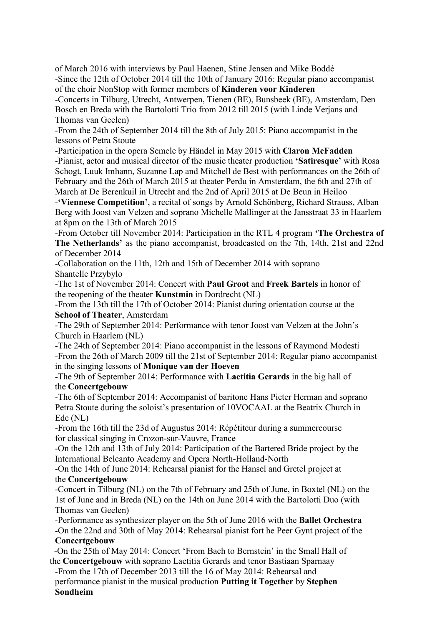of March 2016 with interviews by Paul Haenen, Stine Jensen and Mike Boddé -Since the 12th of October 2014 till the 10th of January 2016: Regular piano accompanist of the choir NonStop with former members of **Kinderen voor Kinderen**

-Concerts in Tilburg, Utrecht, Antwerpen, Tienen (BE), Bunsbeek (BE), Amsterdam, Den Bosch en Breda with the Bartolotti Trio from 2012 till 2015 (with Linde Verjans and Thomas van Geelen)

-From the 24th of September 2014 till the 8th of July 2015: Piano accompanist in the lessons of Petra Stoute

-Participation in the opera Semele by Händel in May 2015 with **Claron McFadden** -Pianist, actor and musical director of the music theater production **'Satiresque'** with Rosa Schogt, Luuk Imhann, Suzanne Lap and Mitchell de Best with performances on the 26th of February and the 26th of March 2015 at theater Perdu in Amsterdam, the 6th and 27th of March at De Berenkuil in Utrecht and the 2nd of April 2015 at De Beun in Heiloo

-**'Viennese Competition'**, a recital of songs by Arnold Schönberg,Richard Strauss, Alban Berg with Joost van Velzen and soprano Michelle Mallinger at the Jansstraat 33 in Haarlem at 8pm on the 13th of March 2015

-From October till November 2014: Participation in the RTL 4 program **'The Orchestra of The Netherlands'** as the piano accompanist, broadcasted on the 7th,14th, 21st and 22nd of December 2014

-Collaboration on the 11th, 12th and 15th of December 2014 with soprano Shantelle Przybylo

-The 1st of November 2014: Concert with **Paul Groot** and **Freek Bartels** in honor of the reopening of the theater **Kunstmin** in Dordrecht(NL)

-From the 13th till the 17th of October 2014: Pianist during orientation course at the **School of Theater**, Amsterdam

-The 29th of September 2014: Performance with tenor Joost van Velzen at the John's Church in Haarlem (NL)

-The 24th of September 2014: Piano accompanist in the lessons of Raymond Modesti -From the 26th of March 2009 till the 21st of September 2014: Regular piano accompanist in the singing lessons of**Monique van der Hoeven**

-The 9th of September 2014: Performance with **Laetitia Gerards** in the big hall of the **Concertgebouw**

-The 6th of September 2014: Accompanist of baritone Hans Pieter Herman and soprano Petra Stoute during the soloist's presentation of 10VOCAAL at the Beatrix Church in Ede (NL)

-From the 16th till the23d of Augustus 2014: Répétiteur during a summercourse for classical singing in Crozon-sur-Vauvre, France

-On the 12th and 13th of July 2014: Participation of the Bartered Bride project by the International Belcanto Academy and Opera North-Holland-North

-On the 14th of June 2014: Rehearsal pianist for the Hansel and Gretel project at the **Concertgebouw**

-Concert in Tilburg (NL) on the 7th of February and 25th of June, in Boxtel (NL) on the 1st of June and in Breda (NL) on the 14th on June 2014 with the Bartolotti Duo (with Thomas van Geelen)

-Performance as synthesizer player on the 5th of June 2016 with the **Ballet Orchestra** -On the 22nd and 30th of May 2014: Rehearsal pianist fort he Peer Gynt project of the **Concertgebouw**

-On the 25th of May 2014: Concert 'From Bach to Bernstein' in the Small Hall of the **Concertgebouw** with soprano Laetitia Gerards and tenor Bastiaan Sparnaay

-From the 17th of December 2013 till the 16 of May 2014: Rehearsal and performance pianist in the musical production **Putting it Together** by **Stephen Sondheim**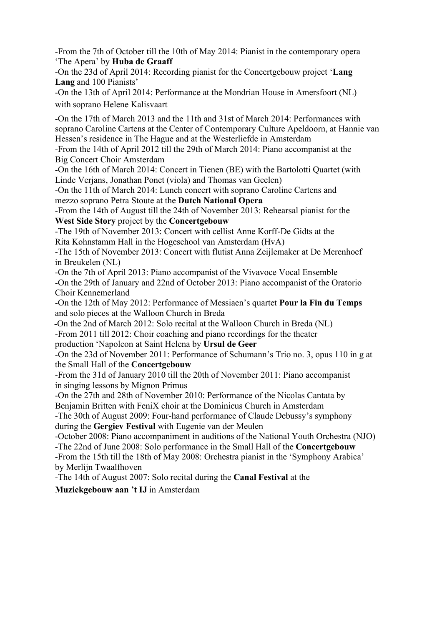-From the 7th of October till the 10th of May 2014: Pianist in the contemporary opera 'The Apera' by **Huba de Graaff**

-On the 23d of April 2014: Recording pianist for the Concertgebouw project '**Lang Lang** and 100 Pianists'

-On the 13th of April 2014: Performance at the Mondrian House in Amersfoort (NL) with soprano Helene Kalisvaart

-On the 17th of March 2013 and the 11th and 31st of March 2014: Performances with soprano Caroline Cartens at the Center of Contemporary Culture Apeldoorn, at Hannie van Hessen's residence in The Hague and at the Westerliefde in Amsterdam

-From the 14th of April 2012 till the 29th of March 2014: Piano accompanist at the Big Concert Choir Amsterdam

-On the 16th of March 2014: Concert in Tienen (BE) with the Bartolotti Quartet (with Linde Verjans, Jonathan Ponet (viola) and Thomas van Geelen)

-On the 11th of March 2014: Lunch concert with soprano Caroline Cartens and mezzo soprano Petra Stoute at the **Dutch National Opera**

-From the 14th of August till the 24th of November 2013: Rehearsal pianist for the **West Side Story** project by the **Concertgebouw**

-The 19th of November 2013: Concert with cellist Anne Korff-De Gidts at the Rita Kohnstamm Hall in the Hogeschool van Amsterdam (HvA)

-The 15th of November 2013: Concert with flutist Anna Zeijlemaker at De Merenhoef in Breukelen (NL)

-On the 7th of April 2013: Piano accompanist of the Vivavoce Vocal Ensemble -On the 29th of January and 22nd of October 2013: Piano accompanist of the Oratorio Choir Kennemerland

-On the 12th of May 2012: Performance of Messiaen's quartet **Pour la Fin du Temps** and solo pieces at the Walloon Church in Breda

-On the 2nd of March 2012: Solo recital at the Walloon Church in Breda (NL)

-From 2011 till 2012: Choir coaching and piano recordings for the theater

production 'Napoleon at Saint Helena by **Ursul de Geer**

-On the 23d of November 2011: Performance of Schumann's Trio no. 3, opus 110 in g at the Small Hall of the **Concertgebouw**

-From the 31d of January 2010 till the 20th of November 2011: Piano accompanist in singing lessons by Mignon Primus

-On the 27th and 28th of November 2010: Performance of the Nicolas Cantata by Benjamin Britten with FeniX choir at the Dominicus Church in Amsterdam

-The 30th of August 2009: Four-hand performance of Claude Debussy's symphony during the **Gergiev Festival** with Eugenie van der Meulen

-October 2008: Piano accompaniment in auditions of the National Youth Orchestra (NJO) -The 22nd of June 2008: Solo performance in the Small Hall of the **Concertgebouw** -From the 15th till the 18th of May 2008: Orchestra pianist in the 'Symphony Arabica' by Merlijn Twaalfhoven

-The 14th of August 2007: Solo recital during the **CanalFestival** at the

**Muziekgebouw aan 't IJ** in Amsterdam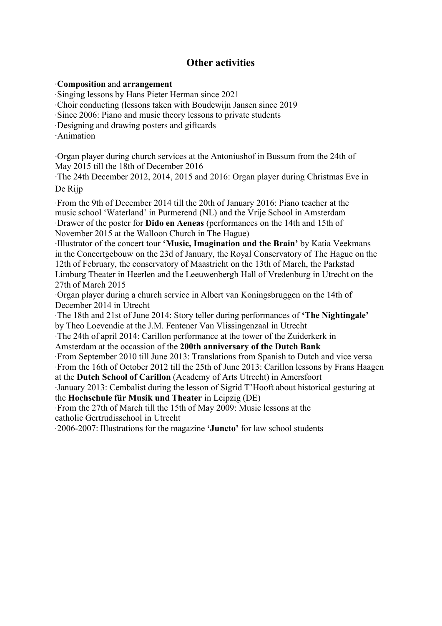# **Other activities**

## ∙**Composition** and **arrangement**

∙Singing lessons by Hans Pieter Herman since 2021

∙Choir conducting (lessons taken with Boudewijn Jansen since 2019

∙Since 2006: Piano and music theory lessons to private students

∙Designing and drawing posters and giftcards

∙Animation

∙Organ player during church services at the Antoniushof in Bussum from the 24th of May 2015 till the 18th of December 2016

∙The 24th December 2012, 2014, 2015 and 2016:Organ player during Christmas Eve in De Rijp

∙From the 9th of December2014 till the 20th of January 2016: Piano teacher at the music school 'Waterland' in Purmerend (NL) and the Vrije School in Amsterdam ∙Drawer of the poster for **Dido en Aeneas** (performances on the 14th and 15th of November 2015 at the Walloon Church in The Hague)

∙Illustrator of the concert tour **'Music, Imagination and the Brain'** by Katia Veekmans in the Concertgebouw on the 23d of January, the Royal Conservatory of The Hague on the 12th of February, the conservatory of Maastricht on the 13th of March, the Parkstad Limburg Theater in Heerlen and the Leeuwenbergh Hall of Vredenburg in Utrecht on the 27th of March 2015

∙Organ player during a church service in Albert van Koningsbruggen on the 14th of December 2014 in Utrecht

∙The 18th and 21st of June 2014: Story teller during performances of**'The Nightingale'** by Theo Loevendie at the J.M. Fentener Van Vlissingenzaal in Utrecht

∙The 24th of april 2014: Carillon performance at the tower of the Zuiderkerk in Amsterdam at the occassion of the **200th anniversary of the Dutch Bank**

∙From September 2010 till June 2013: Translations from Spanish to Dutch and vice versa ∙From the 16th of October 2012 till the 25th of June 2013: Carillon lessons by Frans Haagen at the **Dutch School of Carillon** (Academy of Arts Utrecht) in Amersfoort

∙January 2013: Cembalist during the lesson of Sigrid T'Hooft about historical gesturing at the **Hochschule für Musik und Theater** in Leipzig (DE)

∙From the 27th of March till the 15th of May 2009: Music lessons at the catholic Gertrudisschool in Utrecht

∙2006-2007: Illustrations for the magazine **'Juncto'** for law school students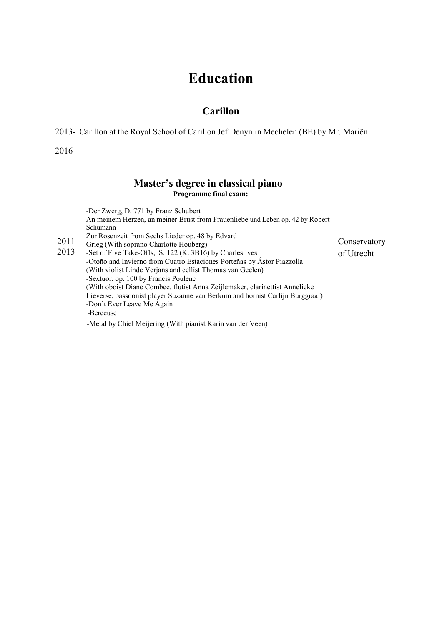# **Education**

# **Carillon**

2013- Carillon at the Royal School of Carillon Jef Denyn in Mechelen (BE) by Mr. Mariën

2016

### **Master's degree in classical piano Programme final exam:**

2011- Grieg (With soprano Charlotte Houberg) 2013 -Set of Five Take-Offs, S. 122 (K. 3B16) by Charles Ives -Der Zwerg, D. 771 by Franz Schubert An meinem Herzen, an meiner Brust from Frauenliebe und Leben op. 42 by Robert Schumann Zur Rosenzeit from Sechs Lieder op.48 by Edvard -Otoño and Invierno from Cuatro Estaciones Porteñas by Ástor Piazzolla (With violist Linde Verjans and cellist Thomas van Geelen) -Sextuor, op. 100 by Francis Poulenc (With oboist Diane Combee, flutist Anna Zeijlemaker, clarinettist Annelieke Lieverse, bassoonist player Suzanne van Berkum and hornist Carlijn Burggraaf) -Don't Ever Leave Me Again -Berceuse -Metal by Chiel Meijering (With pianist Karin van der Veen) Conservatory of Utrecht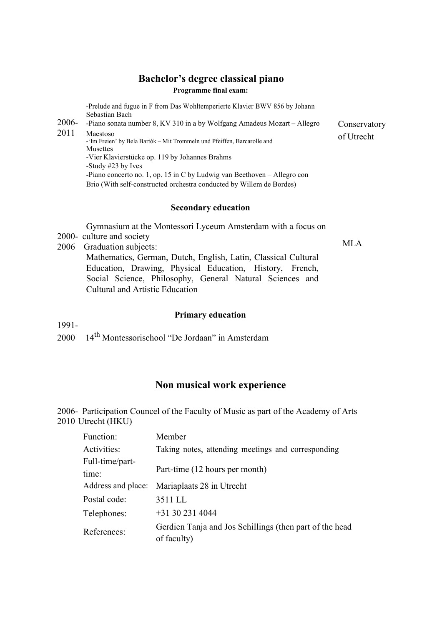### **Programme final exam:**

**Bachelor's degree classical piano**<br>
Prelude and fugue in F from Das Wohltemperierte Klavier BWV 856 by Johann<br>
Sebastian Bach<br>
2006- Piano sonata number 8, KV 310 in a by Wolfgang Amadeus Mozart – Allegro Conservatory -Prelude and fugue in F from Das Wohltemperierte Klavier BWV 856 by Johann Sebastian Bach

2011 Maestoso -'Im Freien' by Bela Bartók – Mit Trommeln und Pfeiffen, Barcarolle and **Musettes** -Vier Klavierstücke op. 119 by Johannes Brahms -Study #23 by Ives -Piano concerto no. 1, op. 15 in C by Ludwig van Beethoven – Allegro con Brio (With self-constructed orchestra conducted by Willem de Bordes)

### **Secondary education**

Gymnasium at the Montessori Lyceum Amsterdam with a focus on

2000- culture and society

2006 Graduation subjects: Mathematics, German, Dutch, English, Latin, Classical Cultural Education, Drawing, Physical Education, History, French, Social Science, Philosophy, General Natural Sciences and Cultural and Artistic Education

### **Primary education**

1991-

2000 14 th Montessorischool "De Jordaan" in Amsterdam

## **Non musical work experience**

2006- Participation Councel of the Faculty of Music as part of the Academy of Arts 2010 Utrecht (HKU)

| Function:          | Member                                                                 |
|--------------------|------------------------------------------------------------------------|
| Activities:        | Taking notes, attending meetings and corresponding                     |
| Full-time/part-    |                                                                        |
| time:              | Part-time (12 hours per month)                                         |
| Address and place: | Mariaplaats 28 in Utrecht                                              |
| Postal code:       | 3511 LL                                                                |
| Telephones:        | $+31302314044$                                                         |
| References:        | Gerdien Tanja and Jos Schillings (then part of the head<br>of faculty) |

of Utrecht

MLA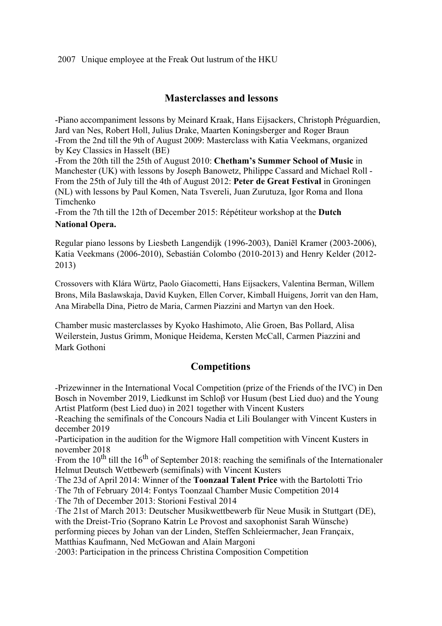2007 Unique employee at the Freak Out lustrum of the HKU

# **Masterclasses and lessons**

-Piano accompaniment lessons by Meinard Kraak, Hans Eijsackers, Christoph Préguardien, Jard van Nes, Robert Holl, Julius Drake, Maarten Koningsberger and Roger Braun -From the 2nd till the 9th of August 2009: Masterclass with Katia Veekmans, organized by Key Classics in Hasselt (BE)

-From the 20th till the25th of August2010: **Chetham's Summer Schoolof Music** in Manchester (UK) with lessons by Joseph Banowetz, Philippe Cassard and Michael Roll - From the 25th of July till the 4th of August2012: **Peter de Great Festival** in Groningen (NL) with lessons by Paul [Komen,](http://www.peterdegrotefestival.nl/summer-academy/docenten/paul-komen/) Nata [Tsvereli,](http://www.peterdegrotefestival.nl/summer-academy/docenten/nata-tsvereli/) Juan [Zurutuza,](http://www.peterdegrotefestival.nl/summer-academy/docenten/juan-zurutuza/) Igor [Roma](http://www.peterdegrotefestival.nl/summer-academy/docenten/igor-roma/) and [Ilona](http://www.peterdegrotefestival.nl/summer-academy/docenten/ilona-timchenko/) Timchenko

-From the 7th till the 12th of December 2015: Répétiteur workshop at the **Dutch National Opera.**

Regular piano lessons by Liesbeth Langendijk (1996-2003), Daniël Kramer (2003-2006), Katia Veekmans (2006-2010), Sebastián Colombo (2010-2013) and Henry Kelder (2012- 2013)

Crossovers with Klára Würtz, Paolo Giacometti, Hans Eijsackers, Valentina Berman,Willem Brons, Mila Baslawskaja, David Kuyken, Ellen Corver, Kimball Huigens, Jorrit van den Ham, Ana Mirabella Dina, Pietro de Maria, Carmen Piazzini and Martyn van den Hoek.

Chamber music masterclasses by Kyoko Hashimoto, Alie Groen, Bas Pollard, Alisa Weilerstein, Justus Grimm, Monique Heidema, Kersten McCall, Carmen Piazzini and Mark Gothoni

# **Competitions**

-Prizewinner in the International Vocal Competition (prize of the Friends of the IVC) in Den Bosch in November 2019, Liedkunst im Schloβ vor Husum (best Lied duo) and the Young Artist Platform (best Lied duo) in 2021 together with Vincent Kusters

-Reaching the semifinals of the Concours Nadia et Lili Boulanger with Vincent Kusters in december 2019

-Participation in the audition for the Wigmore Hall competition with Vincent Kusters in november 2018

∙From the 10<sup>th</sup> till the 16<sup>th</sup> of September 2018: reaching the semifinals of the Internationaler Helmut Deutsch Wettbewerb (semifinals) with Vincent Kusters

∙The 23d of April 2014: Winner of the **Toonzaal Talent Price** with the Bartolotti Trio

∙The 7th of February 2014: Fontys Toonzaal Chamber Music Competition 2014

∙The 7th of December 2013: Storioni Festival 2014

∙The 21st of March 2013: Deutscher Musikwettbewerb für Neue Musik in Stuttgart (DE), with the Dreist-Trio (Soprano Katrin Le Provost and saxophonist Sarah Wünsche) performing pieces by Johan van derLinden, Steffen Schleiermacher, Jean Françaix, Matthias Kaufmann, Ned McGowan and Alain Margoni

∙2003: Participation in the princess Christina Composition Competition